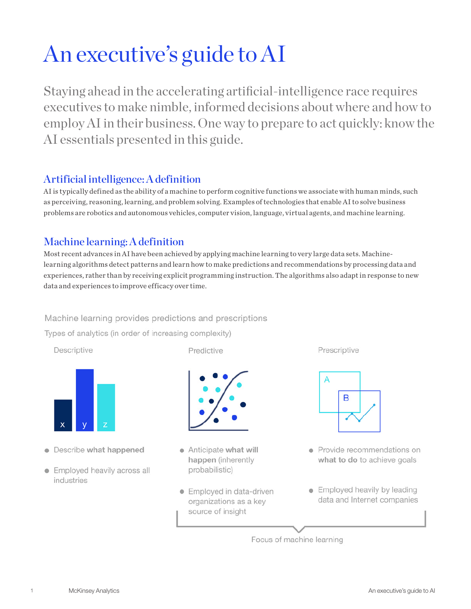# An executive's guide to AI

Staying ahead in the accelerating artificial-intelligence race requires executives to make nimble, informed decisions about where and how to employ AI in their business. One way to prepare to act quickly: know the AI essentials presented in this guide.

# Artificial intelligence: A definition

AI is typically defined as the ability of a machine to perform cognitive functions we associate with human minds, such as perceiving, reasoning, learning, and problem solving. Examples of technologies that enable AI to solve business problems are robotics and autonomous vehicles, computer vision, language, virtual agents, and machine learning.

# Machine learning: A definition

Most recent advances in AI have been achieved by applying machine learning to very large data sets. Machinelearning algorithms detect patterns and learn how to make predictions and recommendations by processing data and experiences, rather than by receiving explicit programming instruction. The algorithms also adapt in response to new data and experiences to improve efficacy over time.

Machine learning provides predictions and prescriptions

Types of analytics (in order of increasing complexity)

Descriptive



- Describe what happened
- Employed heavily across all industries

Predictive



- Anticipate what will happen (inherently probabilistic)
- Employed in data-driven organizations as a key source of insight

Prescriptive



- · Provide recommendations on what to do to achieve goals
- Employed heavily by leading data and Internet companies

Focus of machine learning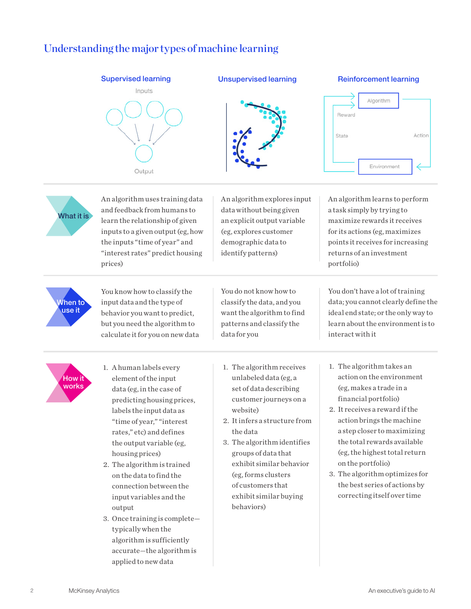# Understanding the major types of machine learning



When to use it

You know how to classify the input data and the type of behavior you want to predict, but you need the algorithm to calculate it for you on new data You do not know how to classify the data, and you want the algorithm to find patterns and classify the data for you



- 1. A human labels every element of the input data (eg, in the case of predicting housing prices, labels the input data as "time of year," "interest rates," etc) and defines the output variable (eg, housing prices)
- 2. The algorithm is trained on the data to find the connection between the input variables and the output
- 3. Once training is complete typically when the algorithm is sufficiently accurate—the algorithm is applied to new data
- 1. The algorithm receives unlabeled data (eg, a set of data describing customer journeys on a website)
- 2. It infers a structure from the data
- 3. The algorithm identifies groups of data that exhibit similar behavior (eg, forms clusters of customers that exhibit similar buying behaviors)
- 1. The algorithm takes an action on the environment (eg, makes a trade in a financial portfolio)

interact with it

data; you cannot clearly define the ideal end state; or the only way to learn about the environment is to

- 2. It receives a reward if the action brings the machine a step closer to maximizing the total rewards available (eg, the highest total return on the portfolio)
- 3. The algorithm optimizes for the best series of actions by correcting itself over time

 $\overline{2}$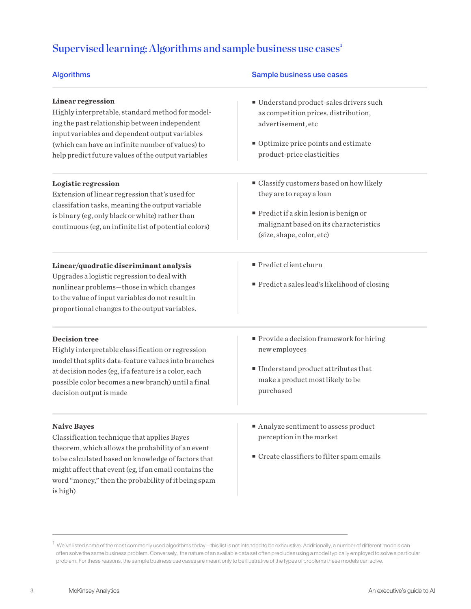# Supervised learning: Algorithms and sample business use  $cases<sup>1</sup>$

| <b>Algorithms</b>                                                                                                                                                                                                                                                                                         | Sample business use cases                                                                                                                                                          |
|-----------------------------------------------------------------------------------------------------------------------------------------------------------------------------------------------------------------------------------------------------------------------------------------------------------|------------------------------------------------------------------------------------------------------------------------------------------------------------------------------------|
| <b>Linear regression</b><br>Highly interpretable, standard method for model-<br>ing the past relationship between independent<br>input variables and dependent output variables<br>(which can have an infinite number of values) to<br>help predict future values of the output variables                 | Understand product-sales drivers such<br>as competition prices, distribution,<br>advertisement, etc<br>Optimize price points and estimate<br>product-price elasticities            |
| Logistic regression<br>Extension of linear regression that's used for<br>classifation tasks, meaning the output variable<br>is binary (eg, only black or white) rather than<br>continuous (eg, an infinite list of potential colors)                                                                      | Classify customers based on how likely<br>they are to repay a loan<br>Predict if a skin lesion is benign or<br>malignant based on its characteristics<br>(size, shape, color, etc) |
| Linear/quadratic discriminant analysis<br>Upgrades a logistic regression to deal with<br>nonlinear problems-those in which changes<br>to the value of input variables do not result in<br>proportional changes to the output variables.                                                                   | Predict client churn<br>Predict a sales lead's likelihood of closing                                                                                                               |
| <b>Decision tree</b><br>Highly interpretable classification or regression<br>model that splits data-feature values into branches<br>at decision nodes (eg, if a feature is a color, each<br>possible color becomes a new branch) until a final<br>decision output is made                                 | Provide a decision framework for hiring<br>new employees<br>Understand product attributes that<br>make a product most likely to be<br>purchased                                    |
| <b>Naive Bayes</b><br>Classification technique that applies Bayes<br>theorem, which allows the probability of an event<br>to be calculated based on knowledge of factors that<br>might affect that event (eg, if an email contains the<br>word "money," then the probability of it being spam<br>is high) | Analyze sentiment to assess product<br>perception in the market<br>Create classifiers to filter spam emails                                                                        |

 $^1$  We've listed some of the most commonly used algorithms today—this list is not intended to be exhaustive. Additionally, a number of different models can often solve the same business problem. Conversely, the nature of an available data set often precludes using a model typically employed to solve a particular problem. For these reasons, the sample business use cases are meant only to be illustrative of the types of problems these models can solve.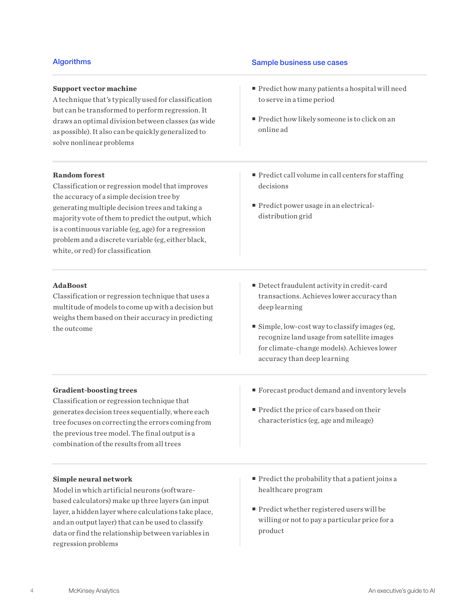# **Support vector machine**

A technique that's typically used for classification but can be transformed to perform regression. It draws an optimal division between classes (as wide as possible). It also can be quickly generalized to solve nonlinear problems

# **Random forest**

Classification or regression model that improves the accuracy of a simple decision tree by generating multiple decision trees and taking a majority vote of them to predict the output, which is a continuous variable (eg, age) for a regression problem and a discrete variable (eg, either black, white, or red) for classification

# **AdaBoost**

Classification or regression technique that uses a multitude of models to come up with a decision but weighs them based on their accuracy in predicting the outcome

# Algorithms **Sample business use cases**

- **Predict how many patients a hospital will need** to serve in a time period
- **Predict how likely someone is to click on an** online ad
- $\blacksquare$  Predict call volume in call centers for staffing decisions
- **Predict power usage in an electrical**distribution grid
- Detect fraudulent activity in credit-card transactions. Achieves lower accuracy than deep learning
- $\blacksquare$  Simple, low-cost way to classify images (eg, recognize land usage from satellite images for climate-change models). Achieves lower accuracy than deep learning

# **Gradient-boosting trees**

Classification or regression technique that generates decision trees sequentially, where each tree focuses on correcting the errors coming from the previous tree model. The final output is a combination of the results from all trees

- Forecast product demand and inventory levels
- Predict the price of cars based on their characteristics (eg, age and mileage)

# **Simple neural network**

Model in which artificial neurons (softwarebased calculators) make up three layers (an input layer, a hidden layer where calculations take place, and an output layer) that can be used to classify data or find the relationship between variables in regression problems

- $\blacksquare$  Predict the probability that a patient joins a healthcare program
- Predict whether registered users will be willing or not to pay a particular price for a product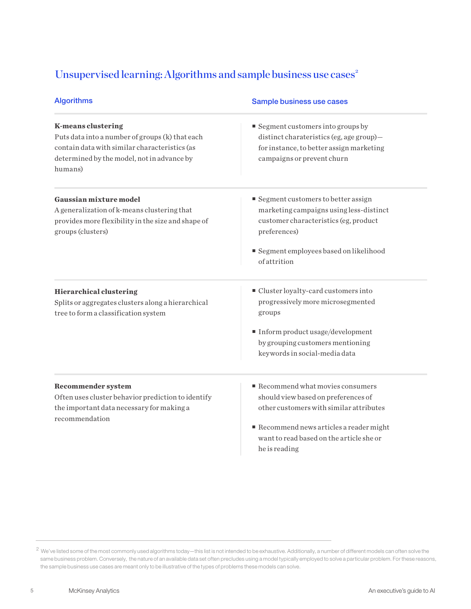# Unsupervised learning: Algorithms and sample business use cases<sup>2</sup>

| <b>Algorithms</b>                                                                                                                                                                      | Sample business use cases                                                                                                                                                                                                               |
|----------------------------------------------------------------------------------------------------------------------------------------------------------------------------------------|-----------------------------------------------------------------------------------------------------------------------------------------------------------------------------------------------------------------------------------------|
| <b>K-means clustering</b><br>Puts data into a number of groups (k) that each<br>contain data with similar characteristics (as<br>determined by the model, not in advance by<br>humans) | $\blacksquare$ Segment customers into groups by<br>distinct charateristics (eg, age group)-<br>for instance, to better assign marketing<br>campaigns or prevent churn                                                                   |
| Gaussian mixture model<br>A generalization of k-means clustering that<br>provides more flexibility in the size and shape of<br>groups (clusters)                                       | Segment customers to better assign<br>marketing campaigns using less-distinct<br>customer characteristics (eg, product<br>preferences)<br>Segment employees based on likelihood<br>of attrition                                         |
| <b>Hierarchical clustering</b><br>Splits or aggregates clusters along a hierarchical<br>tree to form a classification system                                                           | ■ Cluster loyalty-card customers into<br>progressively more microsegmented<br>groups<br>Inform product usage/development<br>by grouping customers mentioning<br>keywords in social-media data                                           |
| <b>Recommender system</b><br>Often uses cluster behavior prediction to identify<br>the important data necessary for making a<br>recommendation                                         | Recommend what movies consumers<br>should view based on preferences of<br>other customers with similar attributes<br>$\blacksquare$ Recommend news articles a reader might<br>want to read based on the article she or<br>he is reading |

 $^2$  We've listed some of the most commonly used algorithms today—this list is not intended to be exhaustive. Additionally, a number of different models can often solve the same business problem. Conversely, the nature of an available data set often precludes using a model typically employed to solve a particular problem. For these reasons, the sample business use cases are meant only to be illustrative of the types of problems these models can solve.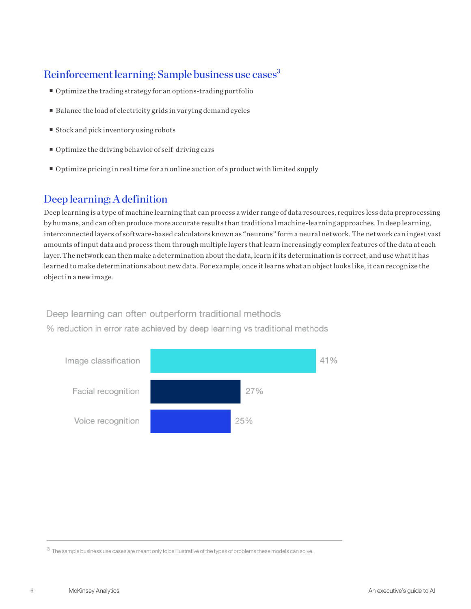# Reinforcement learning: Sample business use cases<sup>3</sup>

- Optimize the trading strategy for an options-trading portfolio
- Balance the load of electricity grids in varying demand cycles
- $\blacksquare$  Stock and pick inventory using robots
- Optimize the driving behavior of self-driving cars
- Optimize pricing in real time for an online auction of a product with limited supply

# Deep learning: A definition

Deep learning is a type of machine learning that can process a wider range of data resources, requires less data preprocessing by humans, and can often produce more accurate results than traditional machine-learning approaches. In deep learning, interconnected layers of software-based calculators known as "neurons" form a neural network. The network can ingest vast amounts of input data and process them through multiple layers that learn increasingly complex features of the data at each layer. The network can then make a determination about the data, learn if its determination is correct, and use what it has learned to make determinations about new data. For example, once it learns what an object looks like, it can recognize the object in a new image.

# Deep learning can often outperform traditional methods

% reduction in error rate achieved by deep learning vs traditional methods



 $3\,$  The sample business use cases are meant only to be illustrative of the types of problems these models can solve.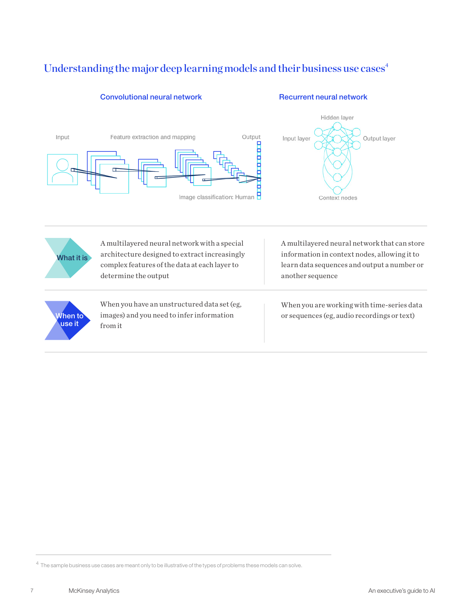# Understanding the major deep learning models and their business use cases<sup>4</sup>

# Output Input Feature extraction and mapping Input layer Η Ë п Image classification: Human P

# Convolutional neural network Recurrent neural network

Hidden layer

Context nodes

Output layer



When to use it

A multilayered neural network with a special architecture designed to extract increasingly complex features of the data at each layer to determine the output

When you have an unstructured data set (eg, images) and you need to infer information from it

A multilayered neural network that can store information in context nodes, allowing it to learn data sequences and output a number or another sequence

When you are working with time-series data or sequences (eg, audio recordings or text)

 $^4\,$  The sample business use cases are meant only to be illustrative of the types of problems these models can solve.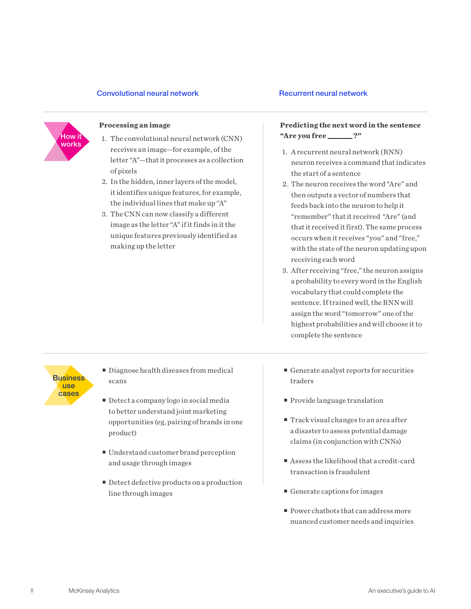# Convolutional neural network example and Recurrent neural network



- **How it** 1. The convolutional neural network (CNN) **"Are you free \_\_\_\_\_?"** receives an image—for example, of the letter "A"—that it processes as a collection of pixels
	- 2. In the hidden, inner layers of the model, it identifies unique features, for example, the individual lines that make up "A"
	- 3. The CNN can now classify a different image as the letter "A" if it finds in it the unique features previously identified as making up the letter

# **Processing an image Predicting the next word in the sentence**

- 1. A recurrent neural network (RNN) neuron receives a command that indicates the start of a sentence
- 2. The neuron receives the word "Are" and then outputs a vector of numbers that feeds back into the neuron to help it "remember" that it received "Are" (and that it received it first). The same process occurs when it receives "you" and "free," with the state of the neuron updating upon receiving each word
- 3. After receiving "free," the neuron assigns a probability to every word in the English vocabulary that could complete the sentence. If trained well, the RNN will assign the word "tomorrow" one of the highest probabilities and will choose it to complete the sentence

**Business** use cases

- Diagnose health diseases from medical scans
- Detect a company logo in social media to better understand joint marketing opportunities (eg, pairing of brands in one product)
- Understand customer brand perception and usage through images
- Detect defective products on a production line through images
- Generate analyst reports for securities traders
- **Provide language translation**
- Track visual changes to an area after a disaster to assess potential damage claims (in conjunction with CNNs)
- Assess the likelihood that a credit-card transaction is fraudulent
- Generate captions for images
- **Power chatbots that can address more** nuanced customer needs and inquiries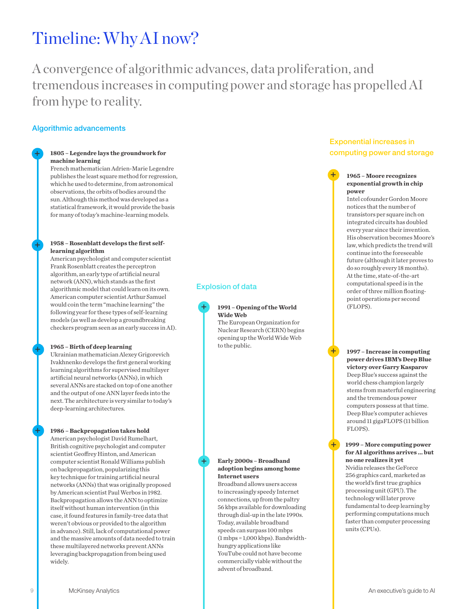# Timeline: Why AI now?

A convergence of algorithmic advances, data proliferation, and tremendous increases in computing power and storage has propelled AI from hype to reality.

# Algorithmic advancements

**+**

**+**

**+**

**+**

# **1805 – Legendre lays the groundwork for machine learning**

French mathematician Adrien-Marie Legendre publishes the least square method for regression, which he used to determine, from astronomical observations, the orbits of bodies around the sun. Although this method was developed as a statistical framework, it would provide the basis for many of today's machine-learning models.

## **1958 – Rosenblatt develops the first selflearning algorithm**

American psychologist and computer scientist Frank Rosenblatt creates the perceptron algorithm, an early type of artificial neural network (ANN), which stands as the first algorithmic model that could learn on its own. American computer scientist Arthur Samuel would coin the term "machine learning" the following year for these types of self-learning models (as well as develop a groundbreaking checkers program seen as an early success in AI).

# **1965 – Birth of deep learning**

Ukrainian mathematician Alexey Grigorevich Ivakhnenko develops the first general working learning algorithms for supervised multilayer artificial neural networks (ANNs), in which several ANNs are stacked on top of one another and the output of one ANN layer feeds into the next. The architecture is very similar to today's deep-learning architectures.

# **1986 – Backpropagation takes hold**

American psychologist David Rumelhart, British cognitive psychologist and computer scientist Geoffrey Hinton, and American computer scientist Ronald Williams publish on backpropagation, popularizing this key technique for training artificial neural networks (ANNs) that was originally proposed by American scientist Paul Werbos in 1982. Backpropagation allows the ANN to optimize itself without human intervention (in this case, it found features in family-tree data that weren't obvious or provided to the algorithm in advance). Still, lack of computational power and the massive amounts of data needed to train these multilayered networks prevent ANNs leveraging backpropagation from being used widely.

# Explosion of data

**+**

**1991 – Opening of the World Wide Web** 

The European Organization for Nuclear Research (CERN) begins opening up the World Wide Web to the public.

# **Early 2000s – Broadband adoption begins among home Internet users**

**+**

Broadband allows users access to increasingly speedy Internet connections, up from the paltry 56 kbps available for downloading through dial-up in the late 1990s. Today, available broadband speeds can surpass 100 mbps (1 mbps = 1,000 kbps). Bandwidthhungry applications like YouTube could not have become commercially viable without the advent of broadband.

# Exponential increases in computing power and storage

# **1965 – Moore recognizes exponential growth in chip power**

**+**

**+**

**+**

Intel cofounder Gordon Moore notices that the number of transistors per square inch on integrated circuits has doubled every year since their invention. His observation becomes Moore's law, which predicts the trend will continue into the foreseeable future (although it later proves to do so roughly every 18 months). At the time, state-of-the-art computational speed is in the order of three million floatingpoint operations per second (FLOPS).

**1997 – Increase in computing power drives IBM's Deep Blue victory over Garry Kasparov**  Deep Blue's success against the world chess champion largely stems from masterful engineering and the tremendous power computers possess at that time. Deep Blue's computer achieves around 11 gigaFLOPS (11 billion FLOPS).

#### **1999 – More computing power for AI algorithms arrives … but no one realizes it yet**

Nvidia releases the GeForce 256 graphics card, marketed as the world's first true graphics processing unit (GPU). The technology will later prove fundamental to deep learning by performing computations much faster than computer processing units (CPUs).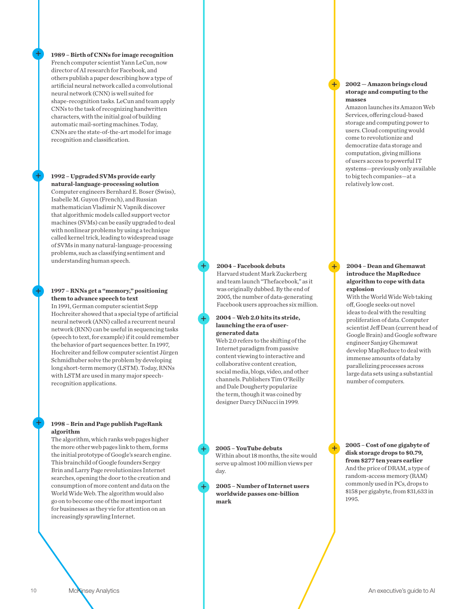**1989 – Birth of CNNs for image recognition**  French computer scientist Yann LeCun, now director of AI research for Facebook, and others publish a paper describing how a type of artificial neural network called a convolutional neural network (CNN) is well suited for shape-recognition tasks. LeCun and team apply CNNs to the task of recognizing handwritten characters, with the initial goal of building automatic mail-sorting machines. Today, CNNs are the state-of-the-art model for image recognition and classification.

# **1992 – Upgraded SVMs provide early natural-language-processing solution**

Computer engineers Bernhard E. Boser (Swiss), Isabelle M. Guyon (French), and Russian mathematician Vladimir N. Vapnik discover that algorithmic models called support vector machines (SVMs) can be easily upgraded to deal with nonlinear problems by using a technique called kernel trick, leading to widespread usage of SVMs in many natural-language-processing problems, such as classifying sentiment and understanding human speech.

# **1997 – RNNs get a "memory," positioning them to advance speech to text**

In 1991, German computer scientist Sepp Hochreiter showed that a special type of artificial neural network (ANN) called a recurrent neural network (RNN) can be useful in sequencing tasks (speech to text, for example) if it could remember the behavior of part sequences better. In 1997, Hochreiter and fellow computer scientist Jürgen Schmidhuber solve the problem by developing long short-term memory (LSTM). Today, RNNs with LSTM are used in many major speechrecognition applications.

# **1998 – Brin and Page publish PageRank algorithm**

The algorithm, which ranks web pages higher the more other web pages link to them, forms the initial prototype of Google's search engine. This brainchild of Google founders Sergey Brin and Larry Page revolutionizes Internet searches, opening the door to the creation and consumption of more content and data on the World Wide Web. The algorithm would also go on to become one of the most important for businesses as they vie for attention on an increasingly sprawling Internet.

# **2004 – Facebook debuts**

Harvard student Mark Zuckerberg and team launch "Thefacebook," as it was originally dubbed. By the end of 2005, the number of data-generating Facebook users approaches six million.

# **2004 – Web 2.0 hits its stride, launching the era of usergenerated data**

Web 2.0 refers to the shifting of the Internet paradigm from passive content viewing to interactive and collaborative content creation, social media, blogs, video, and other channels. Publishers Tim O'Reilly and Dale Dougherty popularize the term, though it was coined by designer Darcy DiNucci in 1999.

**2005 – YouTube debuts**  Within about 18 months, the site would serve up almost 100 million views per day.

**+**

**+**

**+**

**+**

**2005 – Number of Internet users worldwide passes one-billion mark**

#### **2002 — Amazon brings cloud storage and computing to the masses**

Amazon launches its Amazon Web Services, offering cloud-based storage and computing power to users. Cloud computing would come to revolutionize and democratize data storage and computation, giving millions of users access to powerful IT systems—previously only available to big tech companies—at a relatively low cost.

## **2004 – Dean and Ghemawat introduce the MapReduce algorithm to cope with data explosion**

With the World Wide Web taking off, Google seeks out novel ideas to deal with the resulting proliferation of data. Computer scientist Jeff Dean (current head of Google Brain) and Google software engineer Sanjay Ghemawat develop MapReduce to deal with immense amounts of data by parallelizing processes across large data sets using a substantial number of computers.

# **2005 – Cost of one gigabyte of disk storage drops to \$0.79, from \$277 ten years earlier**  And the price of DRAM, a type of random-access memory (RAM) commonly used in PCs, drops to \$158 per gigabyte, from \$31,633 in 1995.

**+**

**+**

**+**

**+**

**+**

**+**

**+**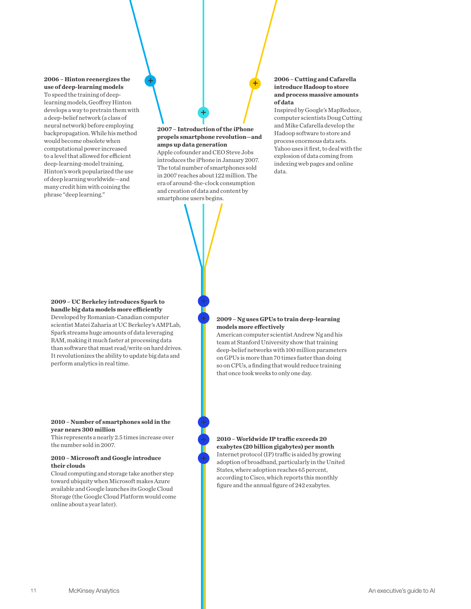# **2006 – Hinton reenergizes the use of deep-learning models**

**+**

To speed the training of deeplearning models, Geoffrey Hinton develops a way to pretrain them with a deep-belief network (a class of neural network) before employing backpropagation. While his method would become obsolete when computational power increased to a level that allowed for efficient deep-learning-model training, Hinton's work popularized the use of deep learning worldwide—and many credit him with coining the phrase "deep learning."

# **2007 – Introduction of the iPhone propels smartphone revolution—and amps up data generation**

**+**

**+**

Apple cofounder and CEO Steve Jobs introduces the iPhone in January 2007. The total number of smartphones sold in 2007 reaches about 122 million. The era of around-the-clock consumption and creation of data and content by smartphone users begins.

# **2006 – Cutting and Cafarella introduce Hadoop to store and process massive amounts of data**

Inspired by Google's MapReduce, computer scientists Doug Cutting and Mike Cafarella develop the Hadoop software to store and process enormous data sets. Yahoo uses it first, to deal with the explosion of data coming from indexing web pages and online data.

# **2009 – UC Berkeley introduces Spark to handle big data models more efficiently**

Developed by Romanian-Canadian computer scientist Matei Zaharia at UC Berkeley's AMPLab, Spark streams huge amounts of data leveraging RAM, making it much faster at processing data than software that must read/write on hard drives. It revolutionizes the ability to update big data and perform analytics in real time.

## **2010 – Number of smartphones sold in the year nears 300 million**

This represents a nearly 2.5 times increase over the number sold in 2007.

# **2010 – Microsoft and Google introduce their clouds**

Cloud computing and storage take another step toward ubiquity when Microsoft makes Azure available and Google launches its Google Cloud Storage (the Google Cloud Platform would come online about a year later).

### **2009 – Ng uses GPUs to train deep-learning models more effectively**

American computer scientist Andrew Ng and his team at Stanford University show that training deep-belief networks with 100 million parameters on GPUs is more than 70 times faster than doing so on CPUs, a finding that would reduce training that once took weeks to only one day.

**2010 – Worldwide IP traffic exceeds 20 exabytes (20 billion gigabytes) per month**  Internet protocol (IP) traffic is aided by growing adoption of broadband, particularly in the United States, where adoption reaches 65 percent, according to Cisco, which reports this monthly figure and the annual figure of 242 exabytes.